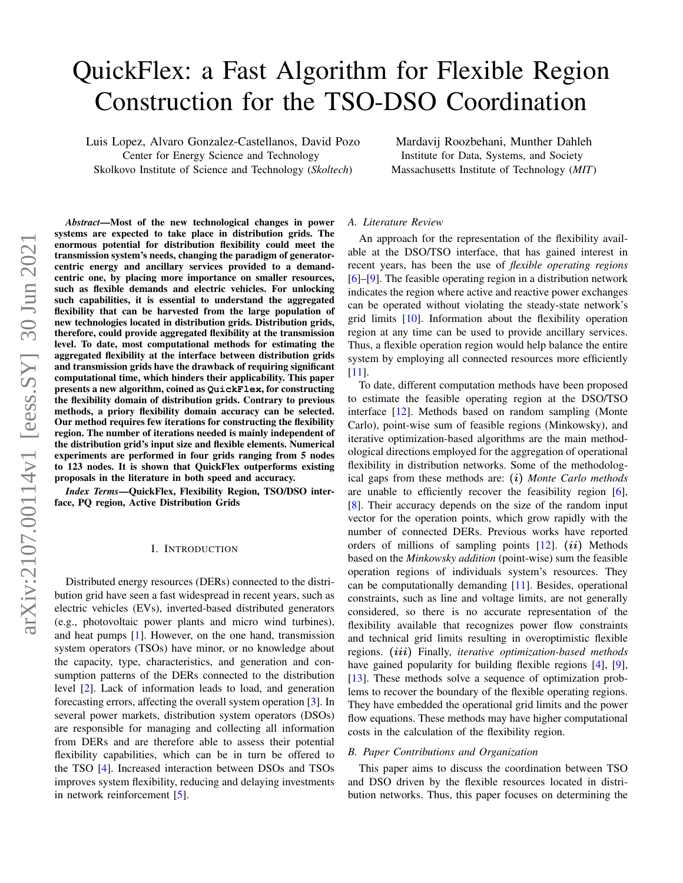# arXiv:2107.00114v1 [eess.SY] 30 Jun 2021 arXiv:2107.00114v1 [eess.SY] 30 Jun 2021

# QuickFlex: a Fast Algorithm for Flexible Region Construction for the TSO-DSO Coordination

Luis Lopez, Alvaro Gonzalez-Castellanos, David Pozo Center for Energy Science and Technology

Skolkovo Institute of Science and Technology (*Skoltech*) Institute for Data, Systems, and Society Massachusetts Institute of Technology (*MIT*)

*Abstract*—Most of the new technological changes in power systems are expected to take place in distribution grids. The enormous potential for distribution flexibility could meet the transmission system's needs, changing the paradigm of generatorcentric energy and ancillary services provided to a demandcentric one, by placing more importance on smaller resources, such as flexible demands and electric vehicles. For unlocking such capabilities, it is essential to understand the aggregated flexibility that can be harvested from the large population of new technologies located in distribution grids. Distribution grids, therefore, could provide aggregated flexibility at the transmission level. To date, most computational methods for estimating the aggregated flexibility at the interface between distribution grids and transmission grids have the drawback of requiring significant computational time, which hinders their applicability. This paper presents a new algorithm, coined as **QuickFlex**, for constructing the flexibility domain of distribution grids. Contrary to previous methods, a priory flexibility domain accuracy can be selected. Our method requires few iterations for constructing the flexibility region. The number of iterations needed is mainly independent of the distribution grid's input size and flexible elements. Numerical experiments are performed in four grids ranging from 5 nodes to 123 nodes. It is shown that QuickFlex outperforms existing proposals in the literature in both speed and accuracy.

*Index Terms*—QuickFlex, Flexibility Region, TSO/DSO interface, PQ region, Active Distribution Grids

### I. INTRODUCTION

Distributed energy resources (DERs) connected to the distribution grid have seen a fast widespread in recent years, such as electric vehicles (EVs), inverted-based distributed generators (e.g., photovoltaic power plants and micro wind turbines), and heat pumps [\[1\]](#page-5-0). However, on the one hand, transmission system operators (TSOs) have minor, or no knowledge about the capacity, type, characteristics, and generation and consumption patterns of the DERs connected to the distribution level [\[2\]](#page-5-1). Lack of information leads to load, and generation forecasting errors, affecting the overall system operation [\[3\]](#page-5-2). In several power markets, distribution system operators (DSOs) are responsible for managing and collecting all information from DERs and are therefore able to assess their potential flexibility capabilities, which can be in turn be offered to the TSO [\[4\]](#page-5-3). Increased interaction between DSOs and TSOs improves system flexibility, reducing and delaying investments in network reinforcement [\[5\]](#page-5-4).

### *A. Literature Review*

An approach for the representation of the flexibility available at the DSO/TSO interface, that has gained interest in recent years, has been the use of *flexible operating regions* [\[6\]](#page-5-5)–[\[9\]](#page-5-6). The feasible operating region in a distribution network indicates the region where active and reactive power exchanges can be operated without violating the steady-state network's grid limits [\[10\]](#page-5-7). Information about the flexibility operation region at any time can be used to provide ancillary services. Thus, a flexible operation region would help balance the entire system by employing all connected resources more efficiently [\[11\]](#page-5-8).

Mardavij Roozbehani, Munther Dahleh

To date, different computation methods have been proposed to estimate the feasible operating region at the DSO/TSO interface [\[12\]](#page-5-9). Methods based on random sampling (Monte Carlo), point-wise sum of feasible regions (Minkowsky), and iterative optimization-based algorithms are the main methodological directions employed for the aggregation of operational flexibility in distribution networks. Some of the methodological gaps from these methods are: (i) *Monte Carlo methods* are unable to efficiently recover the feasibility region [\[6\]](#page-5-5), [\[8\]](#page-5-10). Their accuracy depends on the size of the random input vector for the operation points, which grow rapidly with the number of connected DERs. Previous works have reported orders of millions of sampling points  $[12]$ .  $(ii)$  Methods based on the *Minkowsky addition* (point-wise) sum the feasible operation regions of individuals system's resources. They can be computationally demanding [\[11\]](#page-5-8). Besides, operational constraints, such as line and voltage limits, are not generally considered, so there is no accurate representation of the flexibility available that recognizes power flow constraints and technical grid limits resulting in overoptimistic flexible regions. (iii) Finally, *iterative optimization-based methods* have gained popularity for building flexible regions [\[4\]](#page-5-3), [\[9\]](#page-5-6), [\[13\]](#page-5-11). These methods solve a sequence of optimization problems to recover the boundary of the flexible operating regions. They have embedded the operational grid limits and the power flow equations. These methods may have higher computational costs in the calculation of the flexibility region.

### *B. Paper Contributions and Organization*

This paper aims to discuss the coordination between TSO and DSO driven by the flexible resources located in distribution networks. Thus, this paper focuses on determining the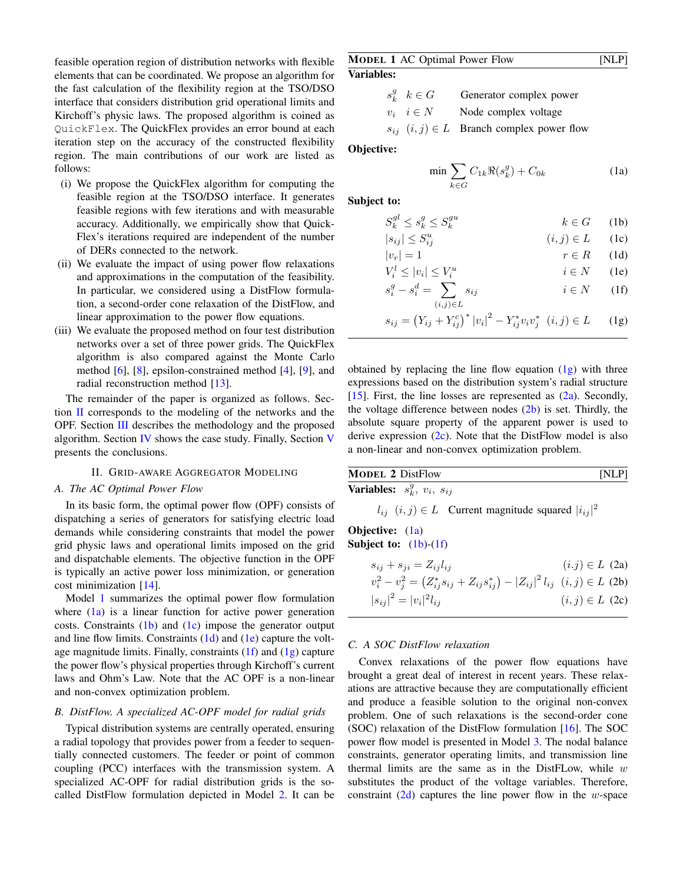feasible operation region of distribution networks with flexible elements that can be coordinated. We propose an algorithm for the fast calculation of the flexibility region at the TSO/DSO interface that considers distribution grid operational limits and Kirchoff's physic laws. The proposed algorithm is coined as QuickFlex. The QuickFlex provides an error bound at each iteration step on the accuracy of the constructed flexibility region. The main contributions of our work are listed as follows:

- (i) We propose the QuickFlex algorithm for computing the feasible region at the TSO/DSO interface. It generates feasible regions with few iterations and with measurable accuracy. Additionally, we empirically show that Quick-Flex's iterations required are independent of the number of DERs connected to the network.
- (ii) We evaluate the impact of using power flow relaxations and approximations in the computation of the feasibility. In particular, we considered using a DistFlow formulation, a second-order cone relaxation of the DistFlow, and linear approximation to the power flow equations.
- (iii) We evaluate the proposed method on four test distribution networks over a set of three power grids. The QuickFlex algorithm is also compared against the Monte Carlo method [\[6\]](#page-5-5), [\[8\]](#page-5-10), epsilon-constrained method [\[4\]](#page-5-3), [\[9\]](#page-5-6), and radial reconstruction method [\[13\]](#page-5-11).

The remainder of the paper is organized as follows. Section [II](#page-1-0) corresponds to the modeling of the networks and the OPF. Section [III](#page-2-0) describes the methodology and the proposed algorithm. Section [IV](#page-3-0) shows the case study. Finally, Section [V](#page-5-12) presents the conclusions.

### II. GRID-AWARE AGGREGATOR MODELING

# <span id="page-1-0"></span>*A. The AC Optimal Power Flow*

In its basic form, the optimal power flow (OPF) consists of dispatching a series of generators for satisfying electric load demands while considering constraints that model the power grid physic laws and operational limits imposed on the grid and dispatchable elements. The objective function in the OPF is typically an active power loss minimization, or generation cost minimization [\[14\]](#page-5-13).

Model [1](#page-1-1) summarizes the optimal power flow formulation where [\(1a\)](#page-1-2) is a linear function for active power generation costs. Constraints  $(1b)$  and  $(1c)$  impose the generator output and line flow limits. Constraints [\(1d\)](#page-1-5) and [\(1e\)](#page-1-6) capture the voltage magnitude limits. Finally, constraints  $(1f)$  and  $(1g)$  capture the power flow's physical properties through Kirchoff's current laws and Ohm's Law. Note that the AC OPF is a non-linear and non-convex optimization problem.

# *B. DistFlow. A specialized AC-OPF model for radial grids*

Typical distribution systems are centrally operated, ensuring a radial topology that provides power from a feeder to sequentially connected customers. The feeder or point of common coupling (PCC) interfaces with the transmission system. A specialized AC-OPF for radial distribution grids is the socalled DistFlow formulation depicted in Model [2.](#page-1-9) It can be

# <span id="page-1-1"></span>**MODEL 1 AC Optimal Power Flow [NLP]** Variables:

|  | $s_k^g$ $k \in G$   | Generator complex power                           |
|--|---------------------|---------------------------------------------------|
|  | $v_i \quad i \in N$ | Node complex voltage                              |
|  |                     | $s_{ij}$ $(i, j) \in L$ Branch complex power flow |

### Objective:

<span id="page-1-6"></span><span id="page-1-5"></span><span id="page-1-4"></span><span id="page-1-3"></span><span id="page-1-2"></span>
$$
\min \sum_{k \in G} C_{1k} \Re(s_k^g) + C_{0k} \tag{1a}
$$

Subject to:

 $|s_{ij}\>$ 

$$
S_k^{gl} \le s_k^g \le S_k^{gu} \qquad k \in G \qquad (1b)
$$

<span id="page-1-8"></span><span id="page-1-7"></span>
$$
|\leq S_{ij}^u \qquad (i,j) \in L \qquad (1c)
$$

$$
|v_r| = 1 \qquad \qquad r \in R \qquad (1d)
$$

$$
V_i^l \le |v_i| \le V_i^u
$$
  
\n
$$
s^g - s^d = \sum s_{ij}
$$
  
\n
$$
i \in N
$$
 (1e)  
\n
$$
i \in N
$$
 (1f)

$$
s_i^g - s_i^d = \sum_{(i,j)\in L} s_{ij} \qquad i \in N \qquad (1f)
$$

$$
s_{ij} = (Y_{ij} + Y_{ij}^c)^* |v_i|^2 - Y_{ij}^* v_i v_j^* \ (i, j) \in L \qquad (1g)
$$

obtained by replacing the line flow equation  $(1g)$  with three expressions based on the distribution system's radial structure [\[15\]](#page-5-14). First, the line losses are represented as  $(2a)$ . Secondly, the voltage difference between nodes  $(2b)$  is set. Thirdly, the absolute square property of the apparent power is used to derive expression  $(2c)$ . Note that the DistFlow model is also a non-linear and non-convex optimization problem.

<span id="page-1-9"></span>

| <b>MODEL 2 DistFlow</b>                      | [NLP] |
|----------------------------------------------|-------|
| <b>Variables:</b> $s_k^g$ , $v_i$ , $s_{ij}$ |       |

<span id="page-1-11"></span><span id="page-1-10"></span> $l_{ij}$   $(i, j) \in L$  Current magnitude squared  $|i_{ij}|^2$ 

# Objective: [\(1a\)](#page-1-2) Subject to:  $(1b)-(1f)$  $(1b)-(1f)$  $(1b)-(1f)$

<span id="page-1-12"></span>
$$
s_{ij} + s_{ji} = Z_{ij}l_{ij}
$$
  
\n
$$
v_i^2 - v_j^2 = (Z_{ij}^* s_{ij} + Z_{ij} s_{ij}^*) - |Z_{ij}|^2 l_{ij}
$$
  $(i, j) \in L$  (2b)  
\n
$$
|s_{ij}|^2 = |v_i|^2 l_{ij}
$$
  $(i, j) \in L$  (2c)

### *C. A SOC DistFlow relaxation*

Convex relaxations of the power flow equations have brought a great deal of interest in recent years. These relaxations are attractive because they are computationally efficient and produce a feasible solution to the original non-convex problem. One of such relaxations is the second-order cone (SOC) relaxation of the DistFlow formulation [\[16\]](#page-5-15). The SOC power flow model is presented in Model [3.](#page-2-1) The nodal balance constraints, generator operating limits, and transmission line thermal limits are the same as in the DistFLow, while  $w$ substitutes the product of the voltage variables. Therefore, constraint  $(2d)$  captures the line power flow in the w-space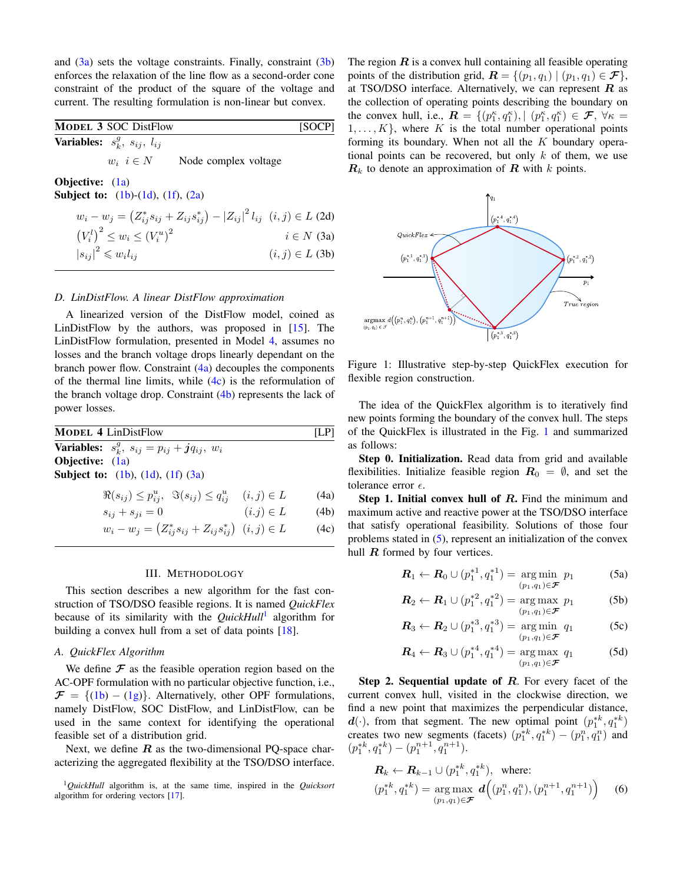and  $(3a)$  sets the voltage constraints. Finally, constraint  $(3b)$ enforces the relaxation of the line flow as a second-order cone constraint of the product of the square of the voltage and current. The resulting formulation is non-linear but convex.

<span id="page-2-1"></span>

| <b>MODEL 3 SOC DistFlow</b>                     |                      | [SOCP] |
|-------------------------------------------------|----------------------|--------|
| <b>Variables:</b> $s_k^g$ , $s_{ij}$ , $l_{ij}$ |                      |        |
| $w_i \, i \in N$                                | Node complex voltage |        |

Objective: [\(1a\)](#page-1-2) **Subject to:**  $(1b)-(1d)$  $(1b)-(1d)$  $(1b)-(1d)$ ,  $(1f)$ ,  $(2a)$ 

| $w_i - w_j = (Z_{ij}^* s_{ij} + Z_{ij} s_{ij}^*) -  Z_{ij} ^2 l_{ij}$ $(i, j) \in L$ (2d) |                     |
|-------------------------------------------------------------------------------------------|---------------------|
| $(V_i^l)^2 \leq w_i \leq (V_i^u)^2$                                                       | $i \in N$ (3a)      |
| $ s_{ij} ^2 \leqslant w_i l_{ij}$                                                         | $(i, j) \in L$ (3b) |

### *D. LinDistFlow. A linear DistFlow approximation*

A linearized version of the DistFlow model, coined as LinDistFlow by the authors, was proposed in [\[15\]](#page-5-14). The LinDistFlow formulation, presented in Model [4,](#page-2-5) assumes no losses and the branch voltage drops linearly dependant on the branch power flow. Constraint  $(4a)$  decouples the components of the thermal line limits, while  $(4c)$  is the reformulation of the branch voltage drop. Constraint  $(4b)$  represents the lack of power losses.

<span id="page-2-5"></span>

| <b>MODEL 4 LinDistFlow</b>                                              |               | [LP] |
|-------------------------------------------------------------------------|---------------|------|
| <b>Variables:</b> $s_k^g$ , $s_{ij} = p_{ij} + j q_{ij}$ , $w_i$        |               |      |
| <b>Objective:</b> $(1a)$                                                |               |      |
| <b>Subject to:</b> $(1b)$ , $(1d)$ , $(1f)$ $(3a)$                      |               |      |
| $\Re(s_{ij}) \leq p_{ij}^u$ , $\Im(s_{ij}) \leq q_{ij}^u$ $(i,j) \in L$ |               | (4a) |
| $s_{ij} + s_{ji} = 0$                                                   | $(i,j) \in L$ | (4b) |
| $w_i - w_j = (Z_{ij}^* s_{ij} + Z_{ij} s_{ij}^*)$ $(i, j) \in L$        |               | (4c) |

### III. METHODOLOGY

<span id="page-2-0"></span>This section describes a new algorithm for the fast construction of TSO/DSO feasible regions. It is named *QuickFlex* because of its similarity with the *QuickHull*[1](#page-2-9) algorithm for building a convex hull from a set of data points [\[18\]](#page-5-16).

# *A. QuickFlex Algorithm*

We define  $\mathcal F$  as the feasible operation region based on the AC-OPF formulation with no particular objective function, i.e.,  $\mathcal{F} = \{(1b) - (1g)\}\$  $\mathcal{F} = \{(1b) - (1g)\}\$  $\mathcal{F} = \{(1b) - (1g)\}\$  $\mathcal{F} = \{(1b) - (1g)\}\$  $\mathcal{F} = \{(1b) - (1g)\}\$ . Alternatively, other OPF formulations, namely DistFlow, SOC DistFlow, and LinDistFlow, can be used in the same context for identifying the operational feasible set of a distribution grid.

Next, we define  $R$  as the two-dimensional PQ-space characterizing the aggregated flexibility at the TSO/DSO interface.

The region  $\bf{R}$  is a convex hull containing all feasible operating points of the distribution grid,  $\mathbf{R} = \{ (p_1, q_1) \mid (p_1, q_1) \in \mathcal{F} \},\$ at TSO/DSO interface. Alternatively, we can represent  $R$  as the collection of operating points describing the boundary on the convex hull, i.e.,  $\mathbf{R} = \{ (p_1^{\kappa}, q_1^{\kappa}), | (p_1^{\kappa}, q_1^{\kappa}) \in \mathcal{F}, \forall \kappa =$  $1, \ldots, K$ , where K is the total number operational points forming its boundary. When not all the  $K$  boundary operational points can be recovered, but only  $k$  of them, we use  $\mathbf{R}_k$  to denote an approximation of  $\mathbf{R}$  with  $k$  points.

<span id="page-2-10"></span><span id="page-2-4"></span><span id="page-2-3"></span><span id="page-2-2"></span>

Figure 1: Illustrative step-by-step QuickFlex execution for flexible region construction.

The idea of the QuickFlex algorithm is to iteratively find new points forming the boundary of the convex hull. The steps of the QuickFlex is illustrated in the Fig. [1](#page-2-10) and summarized as follows:

Step 0. Initialization. Read data from grid and available flexibilities. Initialize feasible region  $R_0 = \emptyset$ , and set the tolerance error  $\epsilon$ .

<span id="page-2-8"></span><span id="page-2-7"></span><span id="page-2-6"></span>Step 1. Initial convex hull of R. Find the minimum and maximum active and reactive power at the TSO/DSO interface that satisfy operational feasibility. Solutions of those four problems stated in [\(5\)](#page-2-11), represent an initialization of the convex hull  $R$  formed by four vertices.

<span id="page-2-11"></span>
$$
\mathbf{R}_1 \leftarrow \mathbf{R}_0 \cup (p_1^{*1}, q_1^{*1}) = \underset{(p_1, q_1) \in \mathcal{F}}{\arg \min} p_1 \tag{5a}
$$

$$
\mathbf{R}_2 \leftarrow \mathbf{R}_1 \cup (p_1^{*2}, q_1^{*2}) = \underset{(p_1, q_1) \in \mathcal{F}}{\arg \max} p_1 \quad (5b)
$$

$$
\boldsymbol{R}_3 \leftarrow \boldsymbol{R}_2 \cup (p_1^{*3}, q_1^{*3}) = \underset{(p_1, q_1) \in \boldsymbol{\mathcal{F}}} {\arg \min} \ q_1 \tag{5c}
$$

$$
\boldsymbol{R}_4 \leftarrow \boldsymbol{R}_3 \cup (p_1^{*4}, q_1^{*4}) = \underset{(p_1, q_1) \in \boldsymbol{\mathcal{F}}} {\arg \max} \ q_1 \tag{5d}
$$

Step 2. Sequential update of R. For every facet of the current convex hull, visited in the clockwise direction, we find a new point that maximizes the perpendicular distance,  $d(\cdot)$ , from that segment. The new optimal point  $(p_1^{*k}, q_1^{*k})$ creates two new segments (facets)  $(p_1^{*k}, q_1^{*k}) - (p_1^n, q_1^n)$  and  $(p_1^{*k}, q_1^{*k}) - (p_1^{n+1}, q_1^{n+1}).$ 

$$
\mathbf{R}_k \leftarrow \mathbf{R}_{k-1} \cup (p_1^{*k}, q_1^{*k}), \text{ where:}
$$
\n
$$
(p_1^{*k}, q_1^{*k}) = \underset{(p_1, q_1) \in \mathcal{F}}{\arg \max} \mathbf{d}\Big((p_1^n, q_1^n), (p_1^{n+1}, q_1^{n+1})\Big) \quad (6)
$$

<span id="page-2-9"></span><sup>1</sup>*QuickHull* algorithm is, at the same time, inspired in the *Quicksort* algorithm for ordering vectors [\[17\]](#page-5-17).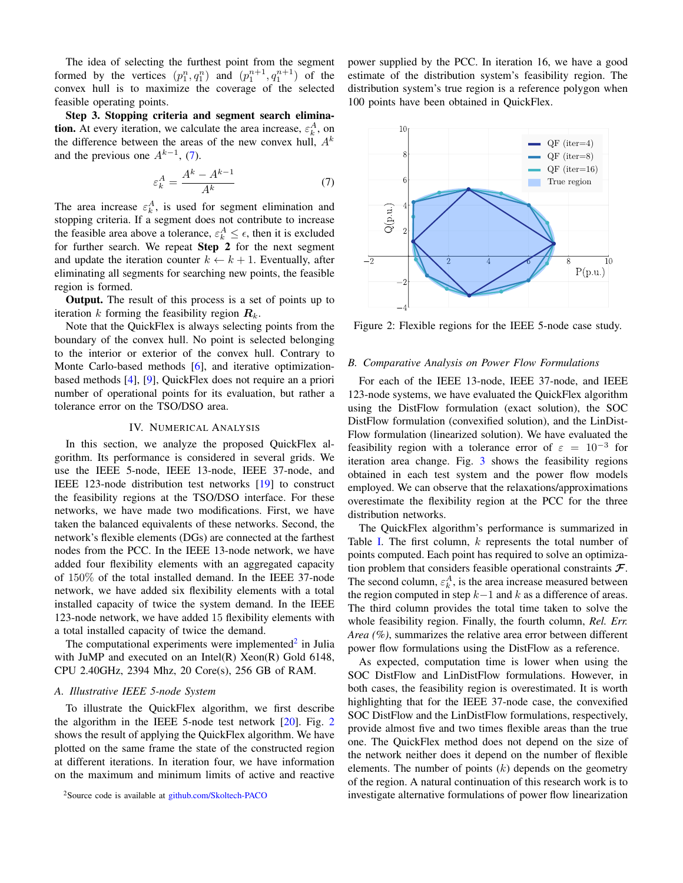The idea of selecting the furthest point from the segment formed by the vertices  $(p_1^n, q_1^n)$  and  $(p_1^{n+1}, q_1^{n+1})$  of the convex hull is to maximize the coverage of the selected feasible operating points.

Step 3. Stopping criteria and segment search elimina**tion.** At every iteration, we calculate the area increase,  $\varepsilon_k^A$ , on the difference between the areas of the new convex hull,  $A<sup>k</sup>$ and the previous one  $A^{k-1}$ , [\(7\)](#page-3-1).

$$
\varepsilon_k^A = \frac{A^k - A^{k-1}}{A^k} \tag{7}
$$

The area increase  $\varepsilon_k^A$ , is used for segment elimination and stopping criteria. If a segment does not contribute to increase the feasible area above a tolerance,  $\varepsilon_k^A \leq \epsilon$ , then it is excluded for further search. We repeat Step 2 for the next segment and update the iteration counter  $k \leftarrow k + 1$ . Eventually, after eliminating all segments for searching new points, the feasible region is formed.

Output. The result of this process is a set of points up to iteration k forming the feasibility region  $R_k$ .

Note that the QuickFlex is always selecting points from the boundary of the convex hull. No point is selected belonging to the interior or exterior of the convex hull. Contrary to Monte Carlo-based methods [\[6\]](#page-5-5), and iterative optimizationbased methods [\[4\]](#page-5-3), [\[9\]](#page-5-6), QuickFlex does not require an a priori number of operational points for its evaluation, but rather a tolerance error on the TSO/DSO area.

### IV. NUMERICAL ANALYSIS

<span id="page-3-0"></span>In this section, we analyze the proposed QuickFlex algorithm. Its performance is considered in several grids. We use the IEEE 5-node, IEEE 13-node, IEEE 37-node, and IEEE 123-node distribution test networks [\[19\]](#page-5-18) to construct the feasibility regions at the TSO/DSO interface. For these networks, we have made two modifications. First, we have taken the balanced equivalents of these networks. Second, the network's flexible elements (DGs) are connected at the farthest nodes from the PCC. In the IEEE 13-node network, we have added four flexibility elements with an aggregated capacity of 150% of the total installed demand. In the IEEE 37-node network, we have added six flexibility elements with a total installed capacity of twice the system demand. In the IEEE 123-node network, we have added 15 flexibility elements with a total installed capacity of twice the demand.

The computational experiments were implemented $2$  in Julia with JuMP and executed on an Intel $(R)$  Xeon $(R)$  Gold 6148, CPU 2.40GHz, 2394 Mhz, 20 Core(s), 256 GB of RAM.

### *A. Illustrative IEEE 5-node System*

To illustrate the QuickFlex algorithm, we first describe the algorithm in the IEEE 5-node test network  $[20]$ . Fig. [2](#page-3-3) shows the result of applying the QuickFlex algorithm. We have plotted on the same frame the state of the constructed region at different iterations. In iteration four, we have information on the maximum and minimum limits of active and reactive

<span id="page-3-2"></span><sup>2</sup>Source code is available at [github.com/Skoltech-PACO](https://github.com/Skoltech-PACO)

power supplied by the PCC. In iteration 16, we have a good estimate of the distribution system's feasibility region. The distribution system's true region is a reference polygon when 100 points have been obtained in QuickFlex.

<span id="page-3-3"></span><span id="page-3-1"></span>

Figure 2: Flexible regions for the IEEE 5-node case study.

### *B. Comparative Analysis on Power Flow Formulations*

For each of the IEEE 13-node, IEEE 37-node, and IEEE 123-node systems, we have evaluated the QuickFlex algorithm using the DistFlow formulation (exact solution), the SOC DistFlow formulation (convexified solution), and the LinDist-Flow formulation (linearized solution). We have evaluated the feasibility region with a tolerance error of  $\varepsilon = 10^{-3}$  for iteration area change. Fig. [3](#page-4-0) shows the feasibility regions obtained in each test system and the power flow models employed. We can observe that the relaxations/approximations overestimate the flexibility region at the PCC for the three distribution networks.

The QuickFlex algorithm's performance is summarized in Table [I.](#page-4-1) The first column, k represents the total number of points computed. Each point has required to solve an optimization problem that considers feasible operational constraints  $\mathcal{F}.$ The second column,  $\varepsilon_k^A$ , is the area increase measured between the region computed in step  $k-1$  and k as a difference of areas. The third column provides the total time taken to solve the whole feasibility region. Finally, the fourth column, *Rel. Err. Area (%)*, summarizes the relative area error between different power flow formulations using the DistFlow as a reference.

As expected, computation time is lower when using the SOC DistFlow and LinDistFlow formulations. However, in both cases, the feasibility region is overestimated. It is worth highlighting that for the IEEE 37-node case, the convexified SOC DistFlow and the LinDistFlow formulations, respectively, provide almost five and two times flexible areas than the true one. The QuickFlex method does not depend on the size of the network neither does it depend on the number of flexible elements. The number of points  $(k)$  depends on the geometry of the region. A natural continuation of this research work is to investigate alternative formulations of power flow linearization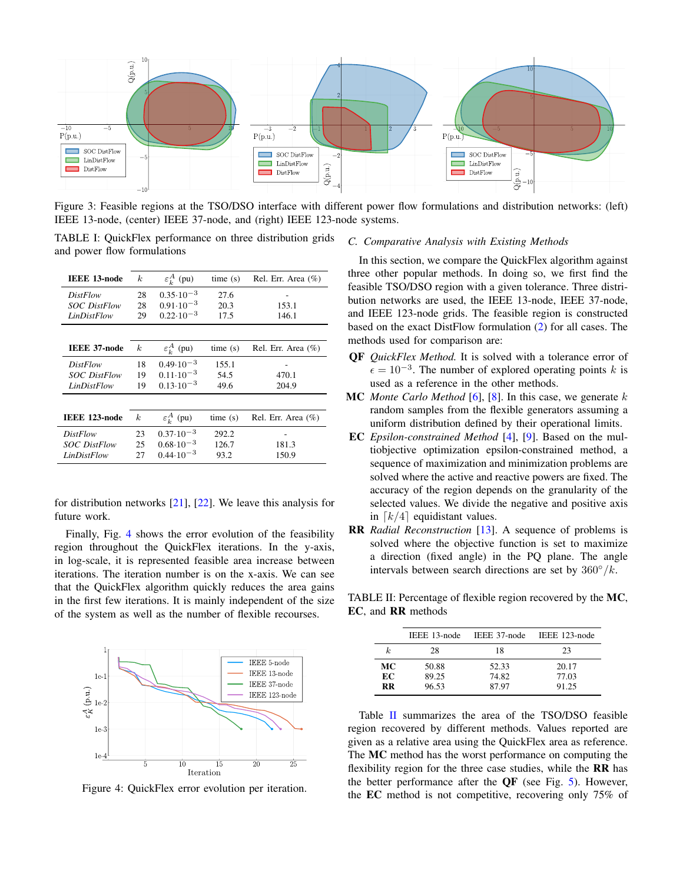<span id="page-4-0"></span>

Figure 3: Feasible regions at the TSO/DSO interface with different power flow formulations and distribution networks: (left) IEEE 13-node, (center) IEEE 37-node, and (right) IEEE 123-node systems.

<span id="page-4-1"></span>TABLE I: QuickFlex performance on three distribution grids and power flow formulations

| <b>IEEE 13-node</b> | k.               | $\varepsilon_k^A$ (pu) | time(s) | Rel. Err. Area (%)     |
|---------------------|------------------|------------------------|---------|------------------------|
| <i>DistFlow</i>     | 28               | $0.35 \cdot 10^{-3}$   | 27.6    |                        |
| <b>SOC</b> DistFlow | 28               | $0.91 \cdot 10^{-3}$   | 20.3    | 153.1                  |
| LinDistFlow         | 29               | $0.22 \cdot 10^{-3}$   | 17.5    | 146.1                  |
|                     |                  |                        |         |                        |
| <b>IEEE 37-node</b> | $\boldsymbol{k}$ | $\varepsilon^A_k$ (pu) | time(s) | Rel. Err. Area $(\% )$ |
| <i>DistFlow</i>     | 18               | $0.49 \cdot 10^{-3}$   | 155.1   |                        |
| <b>SOC</b> DistFlow | 19               | $0.11 \cdot 10^{-3}$   | 54.5    | 470.1                  |
| LinDistFlow         | 19               | $0.13 \cdot 10^{-3}$   | 49.6    | 204.9                  |
|                     |                  |                        |         |                        |
| IEEE 123-node       | k.               | $\varepsilon_k^A$ (pu) | time(s) | Rel. Err. Area (%)     |
| <b>DistFlow</b>     | 23               | $0.37 \cdot 10^{-3}$   | 292.2   |                        |
| <b>SOC</b> DistFlow | 25               | $0.68 \cdot 10^{-3}$   | 126.7   | 181.3                  |
| LinDistFlow         | 27               | $0.44 \cdot 10^{-3}$   | 93.2    | 150.9                  |

for distribution networks [\[21\]](#page-5-20), [\[22\]](#page-5-21). We leave this analysis for future work.

Finally, Fig. [4](#page-4-2) shows the error evolution of the feasibility region throughout the QuickFlex iterations. In the y-axis, in log-scale, it is represented feasible area increase between iterations. The iteration number is on the x-axis. We can see that the QuickFlex algorithm quickly reduces the area gains in the first few iterations. It is mainly independent of the size of the system as well as the number of flexible recourses.

<span id="page-4-2"></span>

Figure 4: QuickFlex error evolution per iteration.

### *C. Comparative Analysis with Existing Methods*

In this section, we compare the QuickFlex algorithm against three other popular methods. In doing so, we first find the feasible TSO/DSO region with a given tolerance. Three distribution networks are used, the IEEE 13-node, IEEE 37-node, and IEEE 123-node grids. The feasible region is constructed based on the exact DistFlow formulation [\(2\)](#page-1-9) for all cases. The methods used for comparison are:

- QF *QuickFlex Method.* It is solved with a tolerance error of  $\epsilon = 10^{-3}$ . The number of explored operating points k is used as a reference in the other methods.
- MC *Monte Carlo Method* [\[6\]](#page-5-5), [\[8\]](#page-5-10). In this case, we generate k random samples from the flexible generators assuming a uniform distribution defined by their operational limits.
- EC *Epsilon-constrained Method* [\[4\]](#page-5-3), [\[9\]](#page-5-6). Based on the multiobjective optimization epsilon-constrained method, a sequence of maximization and minimization problems are solved where the active and reactive powers are fixed. The accuracy of the region depends on the granularity of the selected values. We divide the negative and positive axis in  $\lceil k/4 \rceil$  equidistant values.
- RR *Radial Reconstruction* [\[13\]](#page-5-11). A sequence of problems is solved where the objective function is set to maximize a direction (fixed angle) in the PQ plane. The angle intervals between search directions are set by  $360°/k$ .

<span id="page-4-3"></span>TABLE II: Percentage of flexible region recovered by the MC, EC, and RR methods

|                       | IEEE 13-node            | IEEE 37-node            | IEEE 123-node           |
|-----------------------|-------------------------|-------------------------|-------------------------|
| k.                    | 28                      | 18                      | 23                      |
| МC<br>EC<br><b>RR</b> | 50.88<br>89.25<br>96.53 | 52.33<br>74.82<br>87.97 | 20.17<br>77.03<br>91.25 |

Table [II](#page-4-3) summarizes the area of the TSO/DSO feasible region recovered by different methods. Values reported are given as a relative area using the QuickFlex area as reference. The MC method has the worst performance on computing the flexibility region for the three case studies, while the RR has the better performance after the  $\overline{OF}$  (see Fig. [5\)](#page-5-22). However, the EC method is not competitive, recovering only 75% of